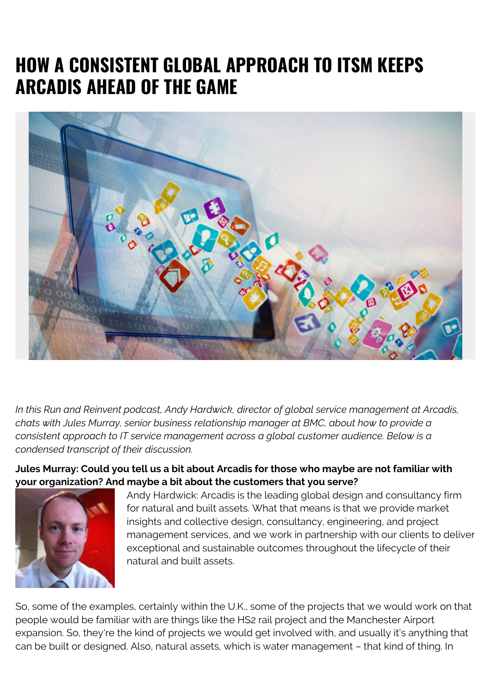# **HOW A CONSISTENT GLOBAL APPROACH TO ITSM KEEPS ARCADIS AHEAD OF THE GAME**



*In this Run and Reinvent podcast, Andy Hardwick, director of global service management at Arcadis, chats with Jules Murray, senior business relationship manager at BMC, about how to provide a consistent approach to IT service management across a global customer audience. Below is a condensed transcript of their discussion.*

**Jules Murray: Could you tell us a bit about Arcadis for those who maybe are not familiar with your organization? And maybe a bit about the customers that you serve?**



Andy Hardwick: Arcadis is the leading global design and consultancy firm for natural and built assets. What that means is that we provide market insights and collective design, consultancy, engineering, and project management services, and we work in partnership with our clients to deliver exceptional and sustainable outcomes throughout the lifecycle of their natural and built assets.

So, some of the examples, certainly within the U.K., some of the projects that we would work on that people would be familiar with are things like the HS2 rail project and the Manchester Airport expansion. So, they're the kind of projects we would get involved with, and usually it's anything that can be built or designed. Also, natural assets, which is water management – that kind of thing. In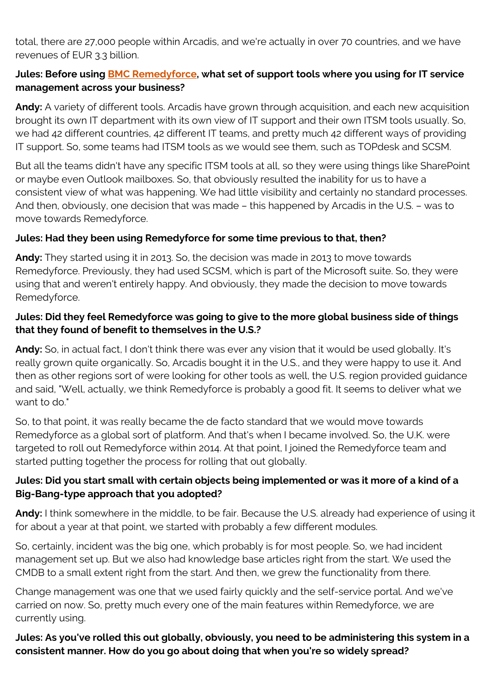total, there are 27,000 people within Arcadis, and we're actually in over 70 countries, and we have revenues of EUR 3.3 billion.

# **Jules: Before using [BMC Remedyforce,](https://blogs.bmc.com/it-solutions/remedyforce.html) what set of support tools where you using for IT service management across your business?**

**Andy:** A variety of different tools. Arcadis have grown through acquisition, and each new acquisition brought its own IT department with its own view of IT support and their own ITSM tools usually. So, we had 42 different countries, 42 different IT teams, and pretty much 42 different ways of providing IT support. So, some teams had ITSM tools as we would see them, such as TOPdesk and SCSM.

But all the teams didn't have any specific ITSM tools at all, so they were using things like SharePoint or maybe even Outlook mailboxes. So, that obviously resulted the inability for us to have a consistent view of what was happening. We had little visibility and certainly no standard processes. And then, obviously, one decision that was made – this happened by Arcadis in the U.S. – was to move towards Remedyforce.

# **Jules: Had they been using Remedyforce for some time previous to that, then?**

**Andy:** They started using it in 2013. So, the decision was made in 2013 to move towards Remedyforce. Previously, they had used SCSM, which is part of the Microsoft suite. So, they were using that and weren't entirely happy. And obviously, they made the decision to move towards Remedyforce.

#### **Jules: Did they feel Remedyforce was going to give to the more global business side of things that they found of benefit to themselves in the U.S.?**

**Andy:** So, in actual fact, I don't think there was ever any vision that it would be used globally. It's really grown quite organically. So, Arcadis bought it in the U.S., and they were happy to use it. And then as other regions sort of were looking for other tools as well, the U.S. region provided guidance and said, "Well, actually, we think Remedyforce is probably a good fit. It seems to deliver what we want to do."

So, to that point, it was really became the de facto standard that we would move towards Remedyforce as a global sort of platform. And that's when I became involved. So, the U.K. were targeted to roll out Remedyforce within 2014. At that point, I joined the Remedyforce team and started putting together the process for rolling that out globally.

# **Jules: Did you start small with certain objects being implemented or was it more of a kind of a Big-Bang-type approach that you adopted?**

**Andy:** I think somewhere in the middle, to be fair. Because the U.S. already had experience of using it for about a year at that point, we started with probably a few different modules.

So, certainly, incident was the big one, which probably is for most people. So, we had incident management set up. But we also had knowledge base articles right from the start. We used the CMDB to a small extent right from the start. And then, we grew the functionality from there.

Change management was one that we used fairly quickly and the self-service portal. And we've carried on now. So, pretty much every one of the main features within Remedyforce, we are currently using.

**Jules: As you've rolled this out globally, obviously, you need to be administering this system in a consistent manner. How do you go about doing that when you're so widely spread?**